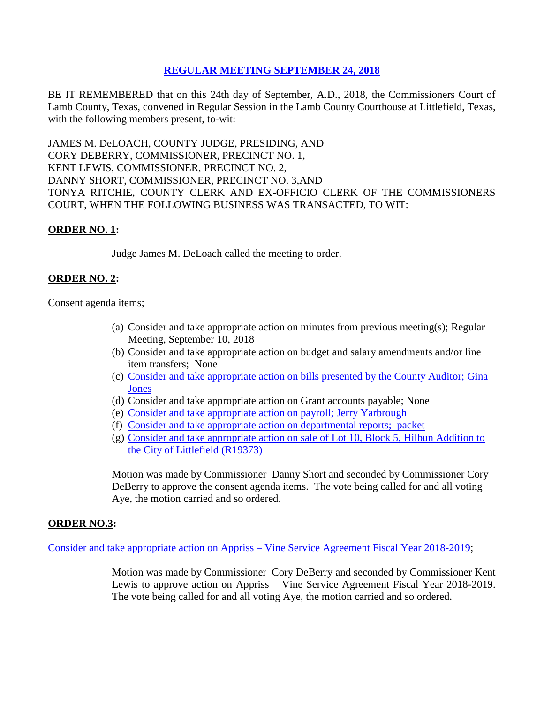## **REGULAR [MEETING SEPTEMBER 24, 2018](Links%202018-09-24-Regular/01%20AGENDA%20REGULAR%20MEETING%20SEPTEMBER%2024,%202018.pdf)**

BE IT REMEMBERED that on this 24th day of September, A.D., 2018, the Commissioners Court of Lamb County, Texas, convened in Regular Session in the Lamb County Courthouse at Littlefield, Texas, with the following members present, to-wit:

JAMES M. DeLOACH, COUNTY JUDGE, PRESIDING, AND CORY DEBERRY, COMMISSIONER, PRECINCT NO. 1, KENT LEWIS, COMMISSIONER, PRECINCT NO. 2, DANNY SHORT, COMMISSIONER, PRECINCT NO. 3,AND TONYA RITCHIE, COUNTY CLERK AND EX-OFFICIO CLERK OF THE COMMISSIONERS COURT, WHEN THE FOLLOWING BUSINESS WAS TRANSACTED, TO WIT:

## **ORDER NO. 1:**

Judge James M. DeLoach called the meeting to order.

### **ORDER NO. 2:**

Consent agenda items;

- (a) Consider and take appropriate action on minutes from previous meeting(s); Regular Meeting, September 10, 2018
- (b) Consider and take appropriate action on budget and salary amendments and/or line item transfers; None
- (c) [Consider and take appropriate action on bills presented by the County Auditor;](Links%202018-09-24-Regular/03%20ACCOUNTS%20PAYABLE%20REGULAR%20MEETING%20SEPTEMBER%2024,%202018.pdf) Gina [Jones](Links%202018-09-24-Regular/03%20ACCOUNTS%20PAYABLE%20REGULAR%20MEETING%20SEPTEMBER%2024,%202018.pdf)
- (d) Consider and take appropriate action on Grant accounts payable; None
- (e) [Consider and take appropriate action on payroll;](Links%202018-09-24-Regular/04%20PAYROLL%20PAYABLES%20REGULAR%20MEETING%20SEPTEMBER%2024,%202018.pdf) Jerry Yarbrough
- (f) [Consider and take appropriate action on departmental reports; packet](Links%202018-09-24-Regular/05%20DEPARTMENTAL%20REPORTS%20REGULAR%20MEETING%20SEPTEMBER%2024,%202018.pdf)
- (g) [Consider and take appropriate action on sale of Lot 10, Block 5, Hilbun Addition to](Links%202018-09-24-Regular/06%20TAX%20DEED%20LITTLEFIELD%20(R19373)%20REGULAR%20MEETING%20SEPTEMBER%2024,%202018.pdf)  [the City of Littlefield](Links%202018-09-24-Regular/06%20TAX%20DEED%20LITTLEFIELD%20(R19373)%20REGULAR%20MEETING%20SEPTEMBER%2024,%202018.pdf) (R19373)

Motion was made by Commissioner Danny Short and seconded by Commissioner Cory DeBerry to approve the consent agenda items. The vote being called for and all voting Aye, the motion carried and so ordered.

#### **ORDER NO.3:**

[Consider and take appropriate action on Appriss –](Links%202018-09-24-Regular/07%20APPRISS%20VINE%20SERVICE%20AGREEMENT%202018-2019%20REGULAR%20MEETING%20SEPTEMBER%2024,%202018.pdf) Vine Service Agreement Fiscal Year 2018-2019;

Motion was made by Commissioner Cory DeBerry and seconded by Commissioner Kent Lewis to approve action on Appriss – Vine Service Agreement Fiscal Year 2018-2019. The vote being called for and all voting Aye, the motion carried and so ordered.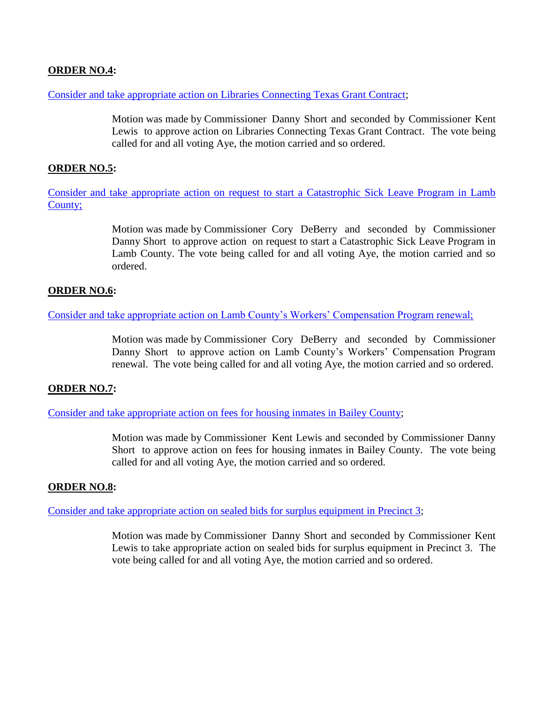# **ORDER NO.4:**

[Consider and take appropriate action on Libraries Connecting Texas Grant Contract;](Links%202018-09-24-Regular/08%20LIBRARIES%20CONNECTING%20TEXAS%20GRANT%20CONTRACT%20REGULAR%20MEETING%20SEPTEMBER%2024,%202018.pdf)

Motion was made by Commissioner Danny Short and seconded by Commissioner Kent Lewis to approve action on Libraries Connecting Texas Grant Contract. The vote being called for and all voting Aye, the motion carried and so ordered.

# **ORDER NO.5:**

Consider and take appropriate [action on request to start a Catastrophic Sick Leave Program in Lamb](Links%202018-09-24-Regular/09%20CATASTROPHIC%20SICK%20LEAVE%20PROGRAM%20REGULAR%20MEETING%20SEPTEMBER%2024,%202018.pdf)  [County;](Links%202018-09-24-Regular/09%20CATASTROPHIC%20SICK%20LEAVE%20PROGRAM%20REGULAR%20MEETING%20SEPTEMBER%2024,%202018.pdf)

> Motion was made by Commissioner Cory DeBerry and seconded by Commissioner Danny Short to approve action on request to start a Catastrophic Sick Leave Program in Lamb County. The vote being called for and all voting Aye, the motion carried and so ordered.

## **ORDER NO.6:**

[Consider and take appropriate action on Lamb County's Workers' Compensation Program renewal;](Links%202018-09-24-Regular/10%20WORKERS)

Motion was made by Commissioner Cory DeBerry and seconded by Commissioner Danny Short to approve action on Lamb County's Workers' Compensation Program renewal. The vote being called for and all voting Aye, the motion carried and so ordered.

### **ORDER NO.7:**

[Consider and take appropriate action on fees for housing inmates in Bailey County;](Links%202018-09-24-Regular/11%20HOUSING%20INMATES%20IN%20BAILEY%20COUNTY%20REGULAR%20MEETING%20SEPTEMBER%2024,%202018.pdf)

Motion was made by Commissioner Kent Lewis and seconded by Commissioner Danny Short to approve action on fees for housing inmates in Bailey County. The vote being called for and all voting Aye, the motion carried and so ordered.

### **ORDER NO.8:**

[Consider and take appropriate action on sealed bids for surplus equipment in Precinct 3;](Links%202018-09-24-Regular/12%20SEALED%20BIDS%20FOR%20SURPLUS%20EQUIPMENT%20PRECINCT%203%20REGULAR%20MEETING%20SEPTEMBER%2024,%202018.pdf)

Motion was made by Commissioner Danny Short and seconded by Commissioner Kent Lewis to take appropriate action on sealed bids for surplus equipment in Precinct 3. The vote being called for and all voting Aye, the motion carried and so ordered.